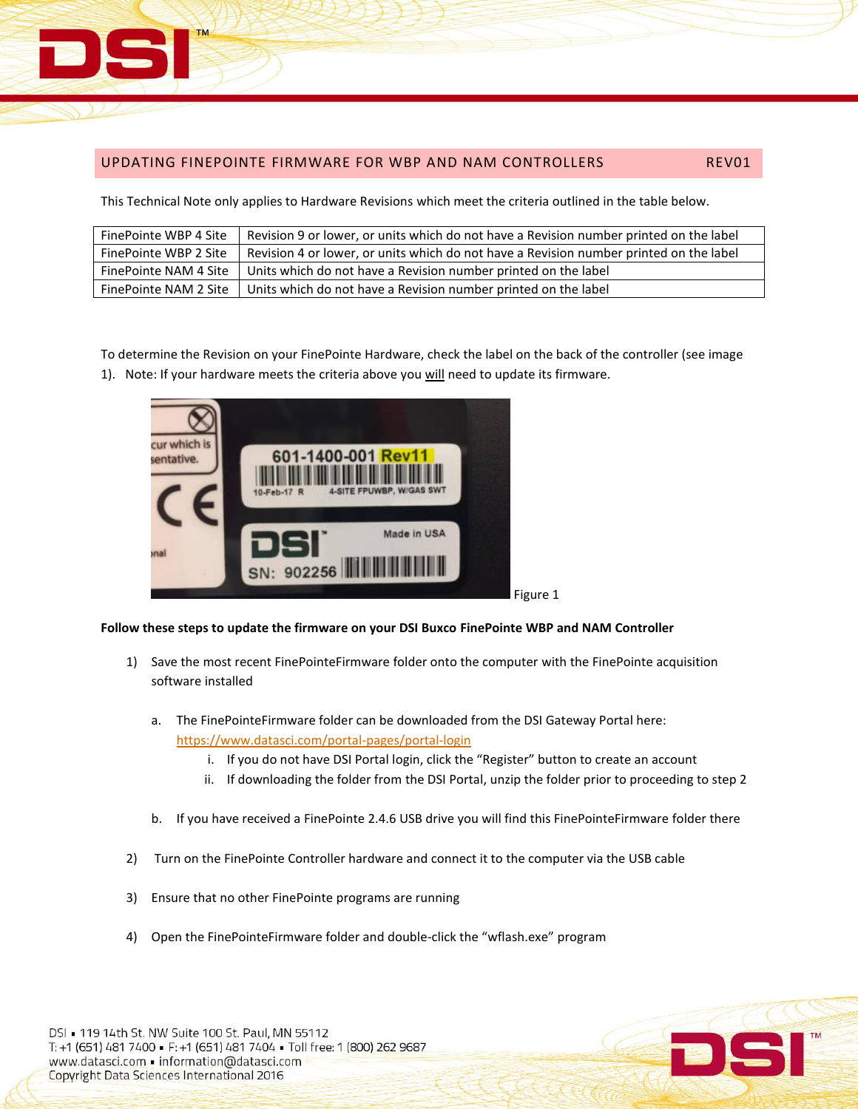

## UPDATING FINEPOINTE FIRMWARE FOR WBP AND NAM CONTROLLERS REV01

This Technical Note only applies to Hardware Revisions which meet the criteria outlined in the table below.

| FinePointe WBP 4 Site | Revision 9 or lower, or units which do not have a Revision number printed on the label |
|-----------------------|----------------------------------------------------------------------------------------|
| FinePointe WBP 2 Site | Revision 4 or lower, or units which do not have a Revision number printed on the label |
| FinePointe NAM 4 Site | Units which do not have a Revision number printed on the label                         |
| FinePointe NAM 2 Site | Units which do not have a Revision number printed on the label                         |

To determine the Revision on your FinePointe Hardware, check the label on the back of the controller (see image 1). Note: If your hardware meets the criteria above you will need to update its firmware.



Figure 1

## **Follow these steps to update the firmware on your DSI Buxco FinePointe WBP and NAM Controller**

- 1) Save the most recent FinePointeFirmware folder onto the computer with the FinePointe acquisition software installed
	- a. The FinePointeFirmware folder can be downloaded from the DSI Gateway Portal here: <https://www.datasci.com/portal-pages/portal-login>
		- i. If you do not have DSI Portal login, click the "Register" button to create an account
		- ii. If downloading the folder from the DSI Portal, unzip the folder prior to proceeding to step 2
	- b. If you have received a FinePointe 2.4.6 USB drive you will find this FinePointeFirmware folder there
- 2) Turn on the FinePointe Controller hardware and connect it to the computer via the USB cable
- 3) Ensure that no other FinePointe programs are running
- 4) Open the FinePointeFirmware folder and double-click the "wflash.exe" program

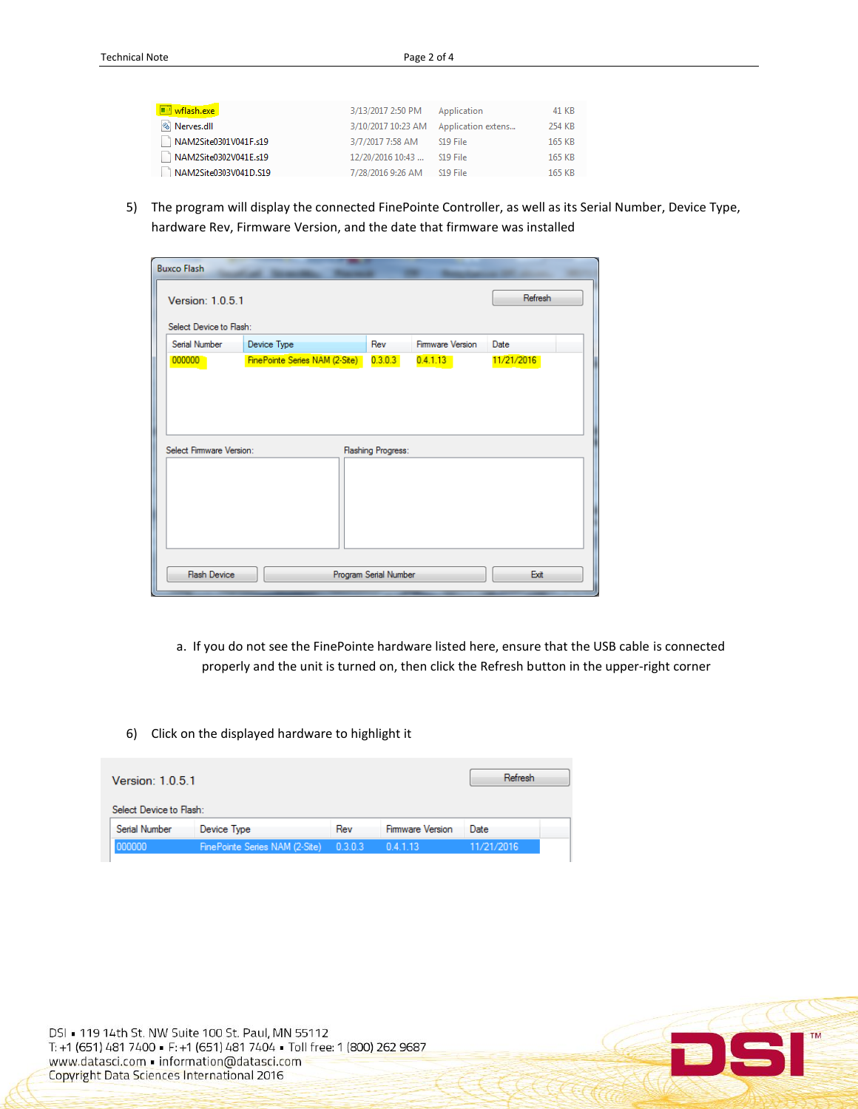| <b>Whash.exe</b>      | 3/13/2017 2:50 PM          | Application                           | 41 KB         |
|-----------------------|----------------------------|---------------------------------------|---------------|
| Nerves.dll            |                            | 3/10/2017 10:23 AM Application extens | 254 KB        |
| NAM2Site0301V041F.s19 | 3/7/2017 7:58 AM           | S <sub>19</sub> File                  | 165 KB        |
| NAM2Site0302V041E.s19 | 12/20/2016 10:43           | S19 File                              | 165 KB        |
| NAM2Site0303V041D.S19 | 7/28/2016 9:26 AM S19 File |                                       | <b>165 KB</b> |

5) The program will display the connected FinePointe Controller, as well as its Serial Number, Device Type, hardware Rev, Firmware Version, and the date that firmware was installed

| <b>Buxco Flash</b>       |                                |                       |                  |            |
|--------------------------|--------------------------------|-----------------------|------------------|------------|
| Version: 1.0.5.1         |                                |                       |                  | Refresh    |
| Select Device to Flash:  |                                |                       |                  |            |
| Serial Number            | Device Type                    | Rev                   | Firmware Version | Date       |
| 000000                   | FinePointe Series NAM (2-Site) | 0.3.0.3               | 0.4.1.13         | 11/21/2016 |
| Select Firmware Version: |                                | Flashing Progress:    |                  |            |
|                          |                                |                       |                  |            |
| <b>Flash Device</b>      |                                | Program Serial Number |                  | Exit       |

a. If you do not see the FinePointe hardware listed here, ensure that the USB cable is connected properly and the unit is turned on, then click the Refresh button in the upper-right corner

## 6) Click on the displayed hardware to highlight it

| Version: 1.0.5.1        |                                |         |                         | Refresh    |
|-------------------------|--------------------------------|---------|-------------------------|------------|
| Select Device to Flash: |                                |         |                         |            |
| Serial Number           | Device Type                    | Rev     | <b>Firmware Version</b> | Date       |
| 000000                  | FinePointe Series NAM (2-Site) | 0.3.0.3 | 04113                   | 11/21/2016 |

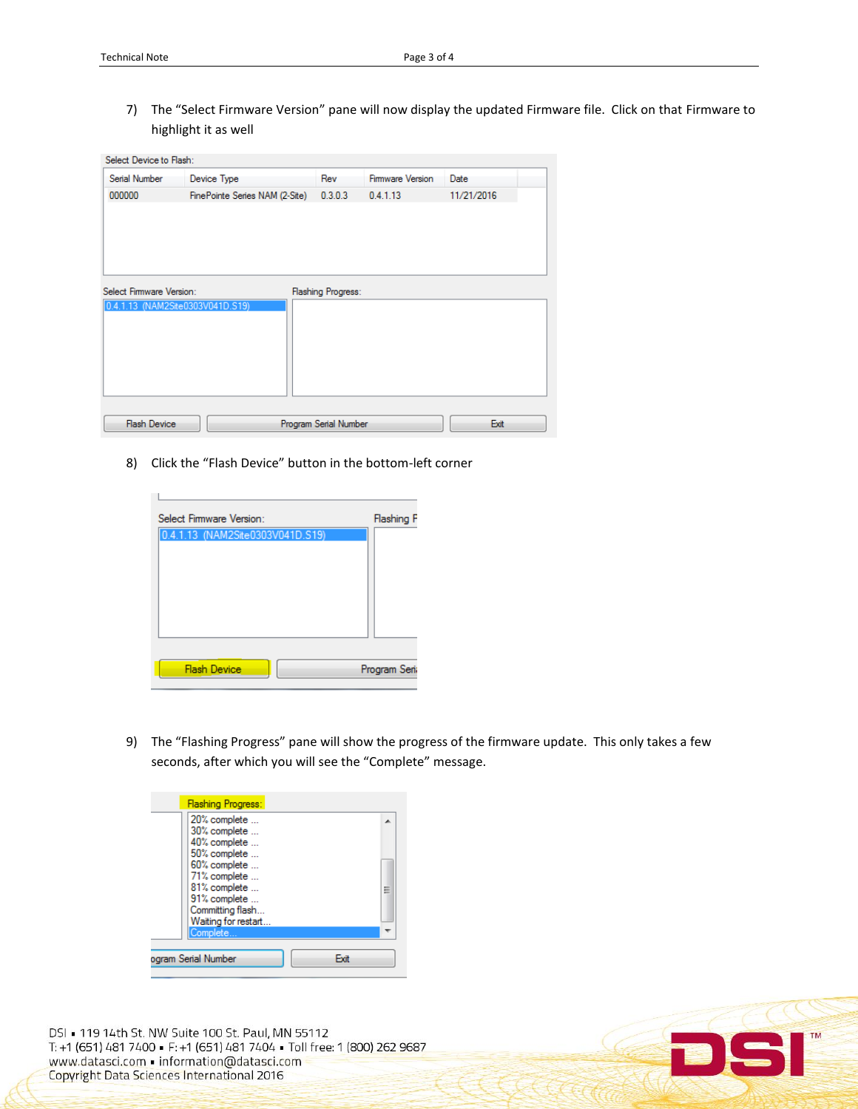7) The "Select Firmware Version" pane will now display the updated Firmware file. Click on that Firmware to highlight it as well

| Serial Number            | Device Type                      | Rev                   | Firmware Version | Date       |
|--------------------------|----------------------------------|-----------------------|------------------|------------|
| 000000                   | FinePointe Series NAM (2-Site)   | 0.3.0.3               | 0.4.1.13         | 11/21/2016 |
|                          |                                  |                       |                  |            |
|                          |                                  |                       |                  |            |
|                          |                                  |                       |                  |            |
|                          |                                  |                       |                  |            |
| Select Firmware Version: |                                  | Flashing Progress:    |                  |            |
|                          | 0.4.1.13 (NAM2Site0303V041D.S19) |                       |                  |            |
|                          |                                  |                       |                  |            |
|                          |                                  |                       |                  |            |
|                          |                                  |                       |                  |            |
|                          |                                  |                       |                  |            |
|                          |                                  |                       |                  |            |
|                          |                                  |                       |                  |            |
| <b>Flash Device</b>      |                                  | Program Serial Number |                  | Exit       |

8) Click the "Flash Device" button in the bottom-left corner



9) The "Flashing Progress" pane will show the progress of the firmware update. This only takes a few seconds, after which you will see the "Complete" message.

| <b>Flashing Progress:</b>                                                                                                                                                    |  |
|------------------------------------------------------------------------------------------------------------------------------------------------------------------------------|--|
| 20% complete<br>30% complete<br>40% complete<br>50% complete<br>60% complete<br>71% complete<br>81% complete<br>Ξ<br>91% complete<br>Committing flash<br>Waiting for restart |  |
| Complete                                                                                                                                                                     |  |
| Fxit<br>ogram Serial Number                                                                                                                                                  |  |

DSI = 119 14th St. NW Suite 100 St. Paul, MN 55112 T: +1 (651) 481 7400 · F: +1 (651) 481 7404 · Toll free: 1 (800) 262 9687 www.datasci.com · information@datasci.com Copyright Data Sciences International 2016